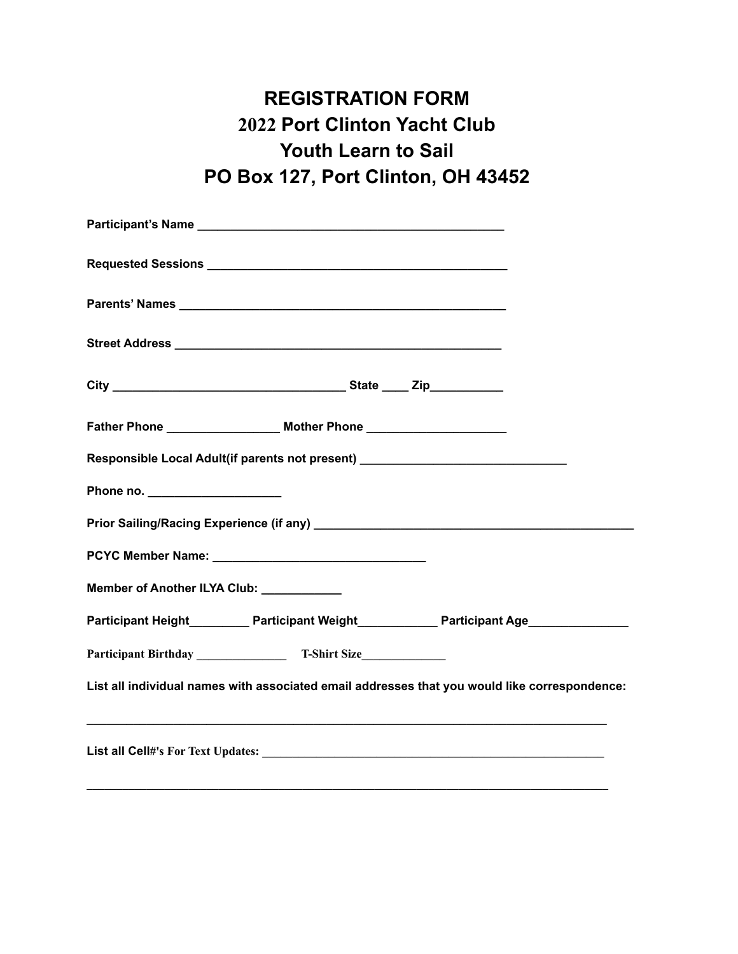# **REGISTRATION FORM 2022 Port Clinton Yacht Club Youth Learn to Sail PO Box 127, Port Clinton, OH 43452**

| Responsible Local Adult(if parents not present) ________________________________               |  |
|------------------------------------------------------------------------------------------------|--|
|                                                                                                |  |
|                                                                                                |  |
|                                                                                                |  |
| Member of Another ILYA Club: ___________                                                       |  |
| Participant Height___________ Participant Weight______________ Participant Age________________ |  |
|                                                                                                |  |
| List all individual names with associated email addresses that you would like correspondence:  |  |
|                                                                                                |  |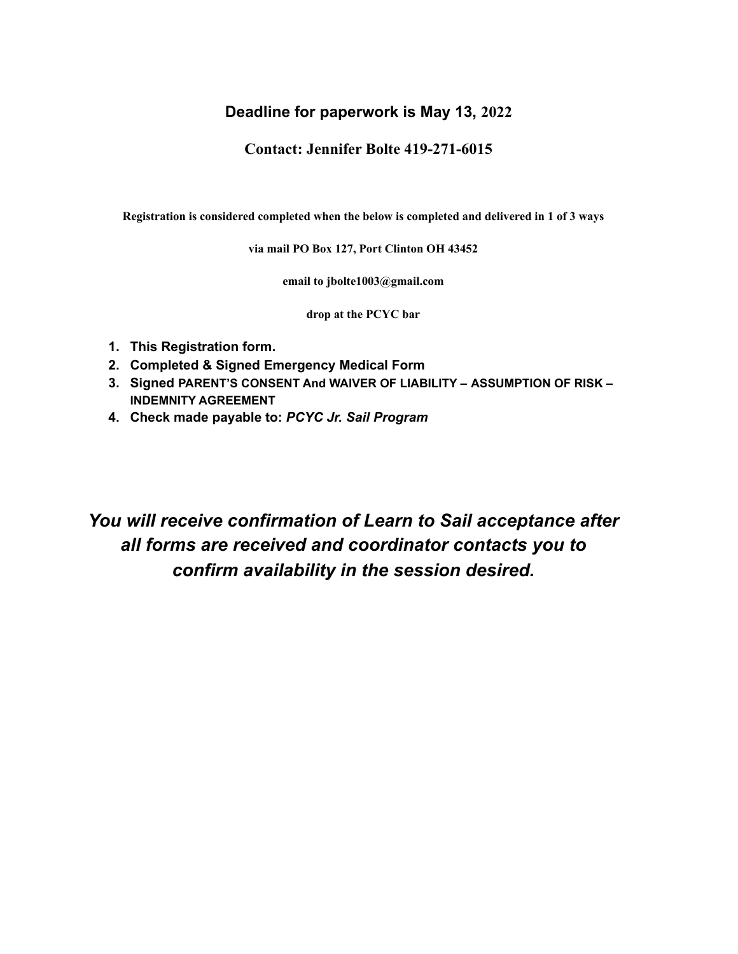### **Deadline for paperwork is May 13, 2022**

**Contact: Jennifer Bolte 419-271-6015**

**Registration is considered completed when the below is completed and delivered in 1 of 3 ways**

**via mail PO Box 127, Port Clinton OH 43452**

**email to jbolte1003@gmail.com**

**drop at the PCYC bar**

- **1. This Registration form.**
- **2. Completed & Signed Emergency Medical Form**
- **3. Signed PARENT'S CONSENT And WAIVER OF LIABILITY – ASSUMPTION OF RISK – INDEMNITY AGREEMENT**
- **4. Check made payable to:** *PCYC Jr. Sail Program*

*You will receive confirmation of Learn to Sail acceptance after all forms are received and coordinator contacts you to confirm availability in the session desired.*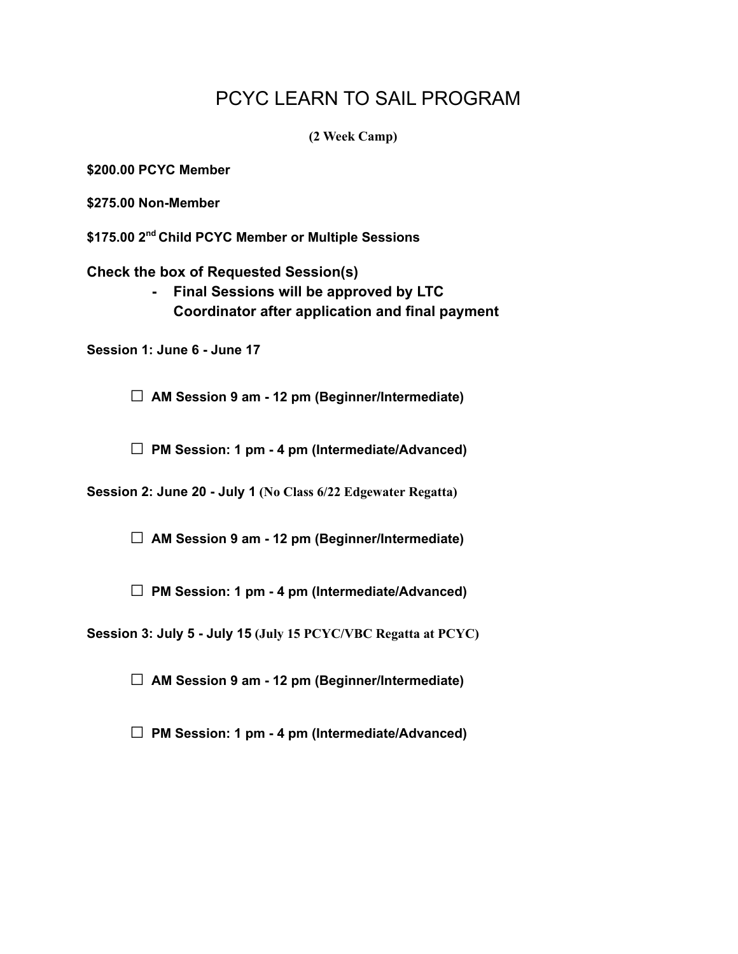## PCYC LEARN TO SAIL PROGRAM

**(2 Week Camp)**

**\$200.00 PCYC Member**

**\$275.00 Non-Member**

**\$175.00 2 nd Child PCYC Member or Multiple Sessions**

**Check the box of Requested Session(s)**

**- Final Sessions will be approved by LTC Coordinator after application and final payment**

**Session 1: June 6 - June 17**

**□ AM Session <sup>9</sup> am - <sup>12</sup> pm (Beginner/Intermediate)**

**□ PM Session: <sup>1</sup> pm - <sup>4</sup> pm (Intermediate/Advanced)**

**Session 2: June 20 - July 1 (No Class 6/22 Edgewater Regatta)**

**□ AM Session <sup>9</sup> am - <sup>12</sup> pm (Beginner/Intermediate)**

**□ PM Session: <sup>1</sup> pm - <sup>4</sup> pm (Intermediate/Advanced)**

**Session 3: July 5 - July 15 (July 15 PCYC/VBC Regatta at PCYC)**

**□ AM Session <sup>9</sup> am - <sup>12</sup> pm (Beginner/Intermediate)**

**□ PM Session: <sup>1</sup> pm - <sup>4</sup> pm (Intermediate/Advanced)**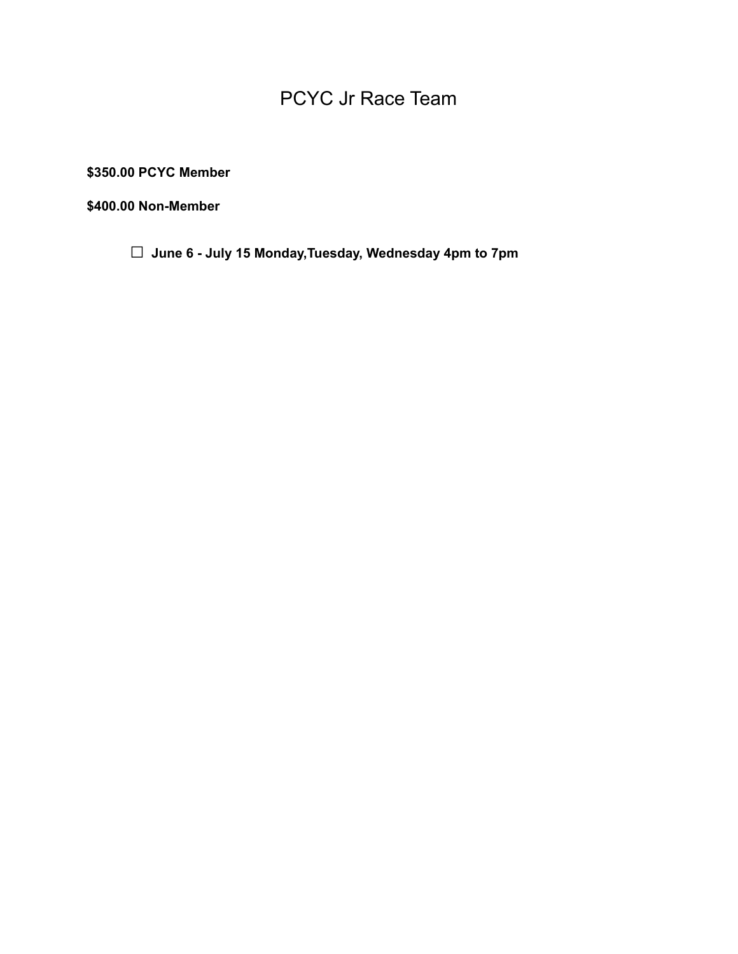# PCYC Jr Race Team

**\$350.00 PCYC Member**

**\$400.00 Non-Member**

**□ June <sup>6</sup> - July <sup>15</sup> Monday,Tuesday, Wednesday 4pm to 7pm**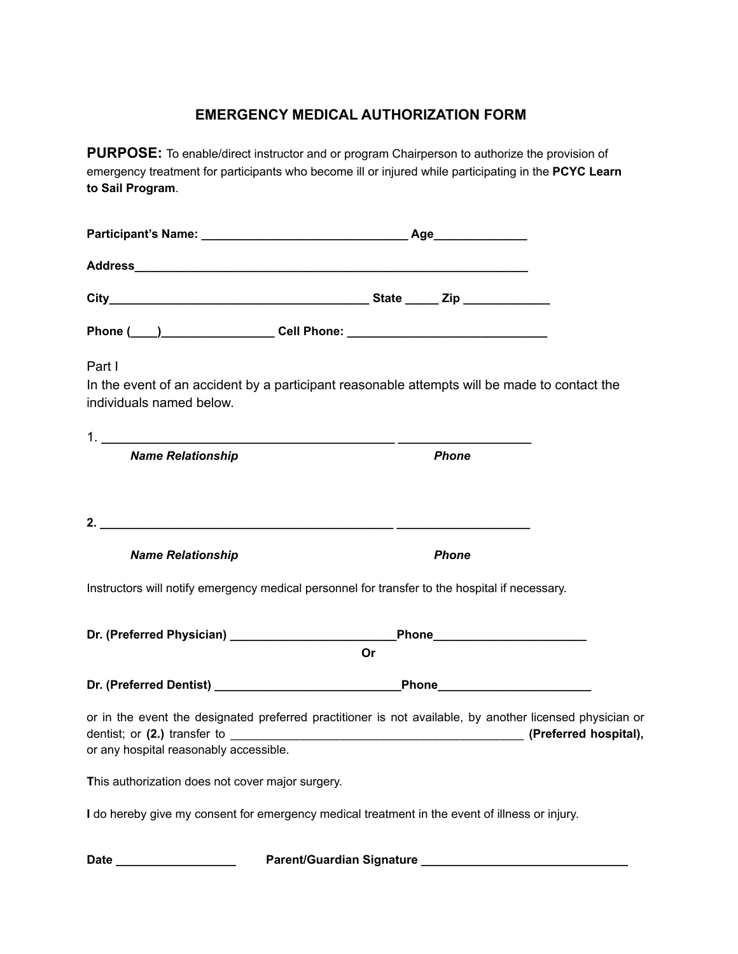### **EMERGENCY MEDICAL AUTHORIZATION FORM**

**PURPOSE:** To enable/direct instructor and or program Chairperson to authorize the provision of emergency treatment for participants who become ill or injured while participating in the **PCYC Learn to Sail Program**.

|                                                  | Address and the contract of the contract of the contract of the contract of the contract of the contract of the contract of the contract of the contract of the contract of the contract of the contract of the contract of th |
|--------------------------------------------------|--------------------------------------------------------------------------------------------------------------------------------------------------------------------------------------------------------------------------------|
|                                                  |                                                                                                                                                                                                                                |
|                                                  |                                                                                                                                                                                                                                |
| Part I<br>individuals named below.               | In the event of an accident by a participant reasonable attempts will be made to contact the                                                                                                                                   |
| <b>Name Relationship</b>                         | <b>Phone</b>                                                                                                                                                                                                                   |
|                                                  |                                                                                                                                                                                                                                |
| <b>Name Relationship</b>                         | <b>Phone</b><br>Instructors will notify emergency medical personnel for transfer to the hospital if necessary.                                                                                                                 |
|                                                  | _Phone_________________________<br>Or                                                                                                                                                                                          |
|                                                  |                                                                                                                                                                                                                                |
| or any hospital reasonably accessible.           | or in the event the designated preferred practitioner is not available, by another licensed physician or                                                                                                                       |
| This authorization does not cover major surgery. |                                                                                                                                                                                                                                |
|                                                  | I do hereby give my consent for emergency medical treatment in the event of illness or injury.                                                                                                                                 |
|                                                  | Parent/Guardian Signature Management Control of the Parent Control of the Parent Control of the Parent Control of the Parent Control of the Parent Control of the Parent Control of the Parent Control of the Parent Control o |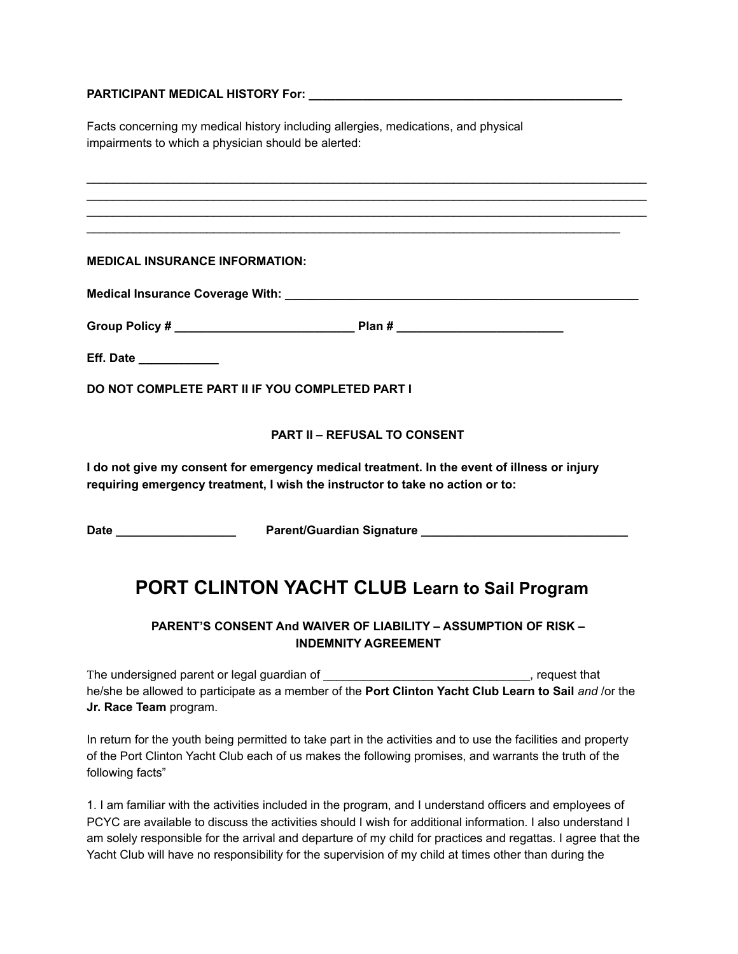#### **PARTICIPANT MEDICAL HISTORY For: \_\_\_\_\_\_\_\_\_\_\_\_\_\_\_\_\_\_\_\_\_\_\_\_\_\_\_\_\_\_\_\_\_\_\_\_\_\_\_\_\_\_\_\_\_\_\_**

Facts concerning my medical history including allergies, medications, and physical impairments to which a physician should be alerted:

|  |  | <b>MEDICAL INSURANCE INFORMATION:</b> |  |
|--|--|---------------------------------------|--|
|--|--|---------------------------------------|--|

**Medical Insurance Coverage With: \_\_\_\_\_\_\_\_\_\_\_\_\_\_\_\_\_\_\_\_\_\_\_\_\_\_\_\_\_\_\_\_\_\_\_\_\_\_\_\_\_\_\_\_\_\_\_\_\_\_\_\_\_**

**Group Policy # \_\_\_\_\_\_\_\_\_\_\_\_\_\_\_\_\_\_\_\_\_\_\_\_\_\_\_ Plan # \_\_\_\_\_\_\_\_\_\_\_\_\_\_\_\_\_\_\_\_\_\_\_\_\_**

| <b>Eff. Date</b> |  |  |  |  |
|------------------|--|--|--|--|
|                  |  |  |  |  |

**DO NOT COMPLETE PART II IF YOU COMPLETED PART I**

#### **PART II – REFUSAL TO CONSENT**

 $\_$  ,  $\_$  ,  $\_$  ,  $\_$  ,  $\_$  ,  $\_$  ,  $\_$  ,  $\_$  ,  $\_$  ,  $\_$  ,  $\_$  ,  $\_$  ,  $\_$  ,  $\_$  ,  $\_$  ,  $\_$  ,  $\_$  ,  $\_$  ,  $\_$  ,  $\_$  ,  $\_$  ,  $\_$  ,  $\_$  ,  $\_$  ,  $\_$  ,  $\_$  ,  $\_$  ,  $\_$  ,  $\_$  ,  $\_$  ,  $\_$  ,  $\_$  ,  $\_$  ,  $\_$  ,  $\_$  ,  $\_$  ,  $\_$  ,  $\_$  ,  $\_$  ,  $\_$  ,  $\_$  ,  $\_$  ,  $\_$  ,  $\_$  ,  $\_$  ,  $\_$  ,  $\_$  ,  $\_$  ,  $\_$  ,  $\_$  ,  $\_$  ,  $\_$  ,  $\_$  ,  $\_$  ,  $\_$  ,  $\_$  ,  $\_$  ,  $\_$  ,  $\_$  ,  $\_$  ,  $\_$  ,  $\_$  ,  $\_$  ,  $\_$  ,  $\_$  ,  $\_$  ,  $\_$  ,  $\_$  ,  $\_$  ,  $\_$  ,  $\_$  ,  $\_$  ,  $\_$  ,  $\_$  ,  $\_$  ,  $\_$  ,  $\_$  ,  $\_$  ,  $\_$  ,  $\_$  ,  $\_$  ,  $\_$  ,  $\_$  ,  $\_$  ,  $\_$  ,  $\_$  ,  $\_$  ,  $\_$  ,  $\_$  ,  $\_$  ,  $\_$  ,  $\_$  ,  $\_$  ,  $\_$  ,  $\_$  ,  $\_$  ,  $\_$  ,  $\_$  ,  $\_$  ,  $\_$  ,  $\_$  ,  $\_$  ,  $\_$  ,  $\_$  ,  $\_$  ,  $\_$  ,  $\_$  ,  $\_$  ,  $\_$  ,  $\_$  ,  $\_$  ,  $\_$  ,  $\_$  ,  $\_$  ,  $\_$  ,  $\_$  ,  $\_$  ,  $\_$  ,  $\_$  ,  $\_$  ,  $\_$  ,  $\_$  ,  $\_$  ,  $\_$  ,  $\_$  ,  $\_$  ,  $\_$  ,  $\_$  ,  $\_$  ,  $\_$  ,  $\_$  ,  $\_$  ,  $\_$  ,  $\_$  ,  $\_$  ,  $\_$  ,  $\_$  ,  $\_$  ,  $\_$  ,  $\_$  ,  $\_$  ,  $\_$  ,  $\_$  ,  $\_$  ,  $\_$  ,  $\_$  ,  $\_$  ,  $\_$  ,

**I do not give my consent for emergency medical treatment. In the event of illness or injury requiring emergency treatment, I wish the instructor to take no action or to:**

**Date \_\_\_\_\_\_\_\_\_\_\_\_\_\_\_\_\_\_ Parent/Guardian Signature \_\_\_\_\_\_\_\_\_\_\_\_\_\_\_\_\_\_\_\_\_\_\_\_\_\_\_\_\_\_\_**

## **PORT CLINTON YACHT CLUB Learn to Sail Program**

#### **PARENT'S CONSENT And WAIVER OF LIABILITY – ASSUMPTION OF RISK – INDEMNITY AGREEMENT**

The undersigned parent or legal guardian of \_\_\_\_\_\_\_\_\_\_\_\_\_\_\_\_\_\_\_\_\_\_\_\_\_\_\_\_\_\_\_\_, request that he/she be allowed to participate as a member of the **Port Clinton Yacht Club Learn to Sail** *and* /or the **Jr. Race Team** program.

In return for the youth being permitted to take part in the activities and to use the facilities and property of the Port Clinton Yacht Club each of us makes the following promises, and warrants the truth of the following facts"

1. I am familiar with the activities included in the program, and I understand officers and employees of PCYC are available to discuss the activities should I wish for additional information. I also understand I am solely responsible for the arrival and departure of my child for practices and regattas. I agree that the Yacht Club will have no responsibility for the supervision of my child at times other than during the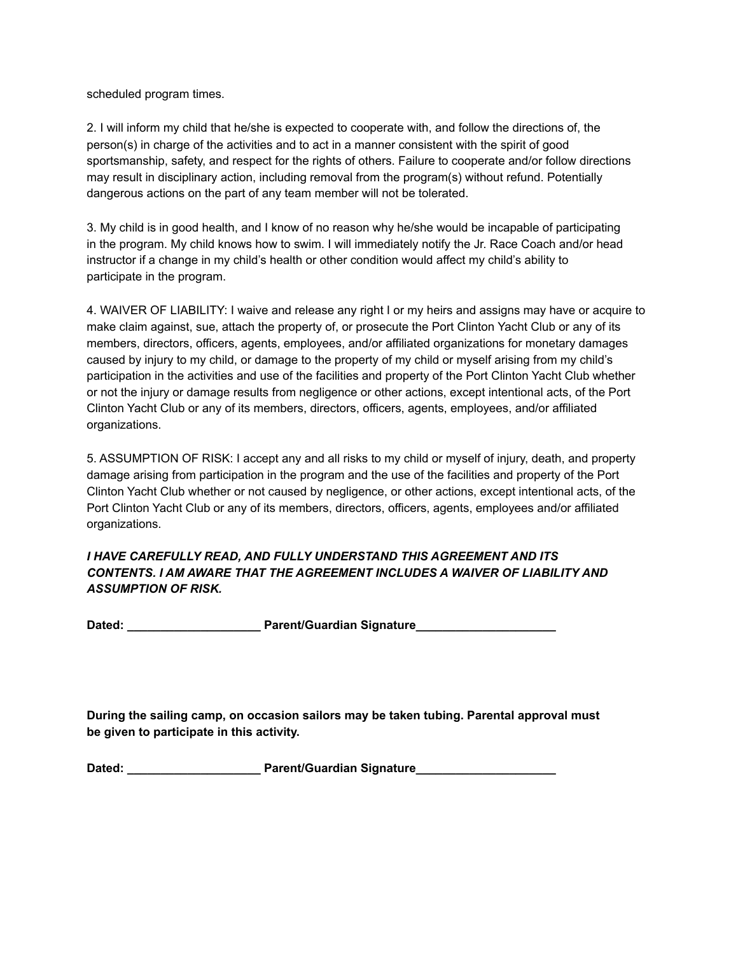scheduled program times.

2. I will inform my child that he/she is expected to cooperate with, and follow the directions of, the person(s) in charge of the activities and to act in a manner consistent with the spirit of good sportsmanship, safety, and respect for the rights of others. Failure to cooperate and/or follow directions may result in disciplinary action, including removal from the program(s) without refund. Potentially dangerous actions on the part of any team member will not be tolerated.

3. My child is in good health, and I know of no reason why he/she would be incapable of participating in the program. My child knows how to swim. I will immediately notify the Jr. Race Coach and/or head instructor if a change in my child's health or other condition would affect my child's ability to participate in the program.

4. WAIVER OF LIABILITY: I waive and release any right I or my heirs and assigns may have or acquire to make claim against, sue, attach the property of, or prosecute the Port Clinton Yacht Club or any of its members, directors, officers, agents, employees, and/or affiliated organizations for monetary damages caused by injury to my child, or damage to the property of my child or myself arising from my child's participation in the activities and use of the facilities and property of the Port Clinton Yacht Club whether or not the injury or damage results from negligence or other actions, except intentional acts, of the Port Clinton Yacht Club or any of its members, directors, officers, agents, employees, and/or affiliated organizations.

5. ASSUMPTION OF RISK: I accept any and all risks to my child or myself of injury, death, and property damage arising from participation in the program and the use of the facilities and property of the Port Clinton Yacht Club whether or not caused by negligence, or other actions, except intentional acts, of the Port Clinton Yacht Club or any of its members, directors, officers, agents, employees and/or affiliated organizations.

#### *I HAVE CAREFULLY READ, AND FULLY UNDERSTAND THIS AGREEMENT AND ITS CONTENTS. I AM AWARE THAT THE AGREEMENT INCLUDES A WAIVER OF LIABILITY AND ASSUMPTION OF RISK.*

**Dated: \_\_\_\_\_\_\_\_\_\_\_\_\_\_\_\_\_\_\_\_ Parent/Guardian Signature\_\_\_\_\_\_\_\_\_\_\_\_\_\_\_\_\_\_\_\_\_**

**During the sailing camp, on occasion sailors may be taken tubing. Parental approval must be given to participate in this activity.**

| Dated: | Parent/Guardian Signature |  |
|--------|---------------------------|--|
|--------|---------------------------|--|